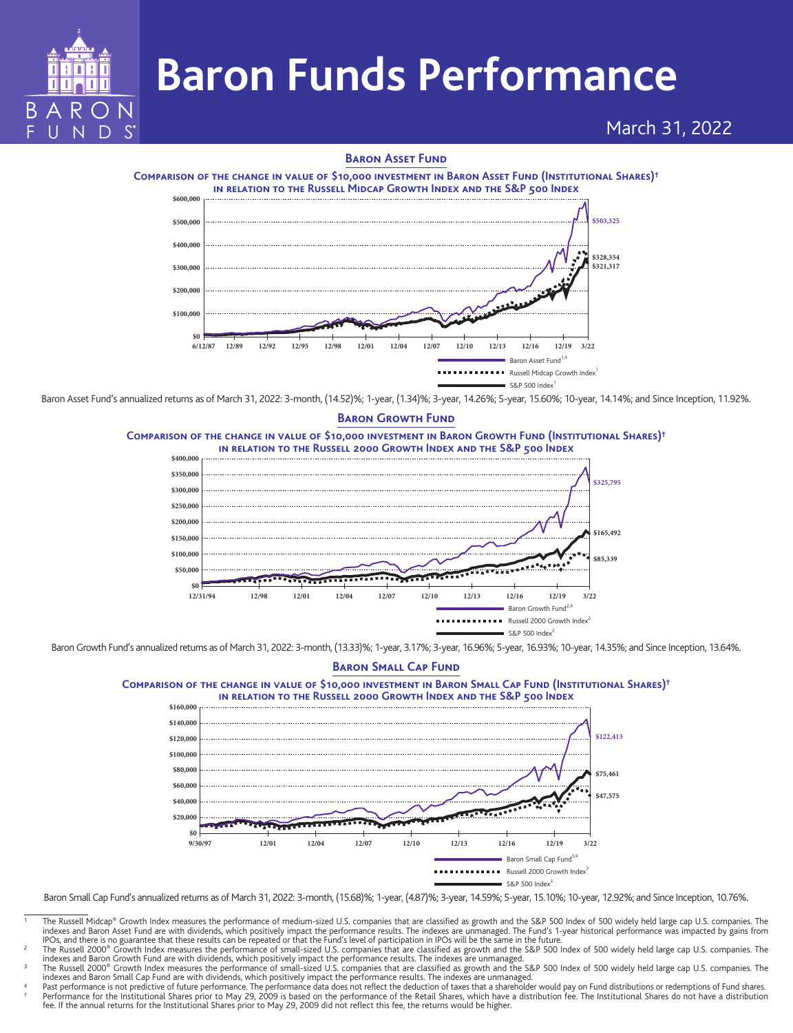

# March 31, 2022

# **Baron Asset Fund**



Baron Asset Fund's annualized returns as of March 31, 2022: 3-month, (14.52)%; 1-year, (1.34)%; 3-year, 14.26%; 5-year, 15.60%; 10-year, 14.14%; and Since Inception, 11.92%.

S&P 500 Index

### **Baron Growth Fund**





Baron Growth Fund's annualized returns as of March 31, 2022: 3-month, (13.33)%; 1-year, 3.17%; 3-year, 16.96%; 5-year, 16.93%; 10-year, 14.35%; and Since Inception, 13.64%.

#### **Baron Small Cap FundComparison of the change in value of \$10,000 investment in Baron Small Cap Fund (Institutional Shares)† in relation to the Russell 2000 Growth Index and the S&P 500 Index \$0 \$20,000 \$140,000 \$120,000 \$100,000 \$80,000 \$60,000 \$40,000 \$122,413 \$75,461 \$47,575** Baron Small Cap Fund<sup>3,</sup>  $SAD$  500 Index<sup>3</sup> Russell 2000 Growth Index **9/30/97 12/01 12/04 12/07 12/10 12/13 12/16 12/19 3/22 \$160,000**

Baron Small Cap Fund's annualized returns as of March 31, 2022: 3-month, (15.68)%; 1-year, (4.87)%; 3-year, 14.59%; 5-year, 15.10%; 10-year, 12.92%; and Since Inception, 10.76%.

indexes and Baron Small Cap Fund are with dividends, which positively impact the performance results. The indexes are unmanaged.

<sup>1</sup> The Russell Midcap® Growth Index measures the performance of medium-sized U.S. companies that are classified as growth and the S&P 500 Index of 500 widely held large cap U.S. companies. The indexes and Baron Asset Fund are with dividends, which positively impact the performance results. The indexes are unmanaged. The Fund's 1-year historical performance was impacted by gains from<br>IPOs, and there is no guarant

The Russell 2000® Growth Index measures the performance of small-sized U.S. companies that are classified as growth and the S&P 500 Index of 500 widely held large cap U.S. companies. The indexes and Baron Growth Fund are with dividends, which positively impact the performance results. The indexes are unmanaged.<br>The Russell 2000® Growth Index measures the performance of small-sized U.S. companies that are c

Past performance is not predictive of future performance. The performance data does not reflect the deduction of taxes that a shareholder would pay on Fund distributions or redemptions of Fund shares.<br>† Performance for the fee. If the annual returns for the Institutional Shares prior to May 29, 2009 did not reflect this fee, the returns would be higher.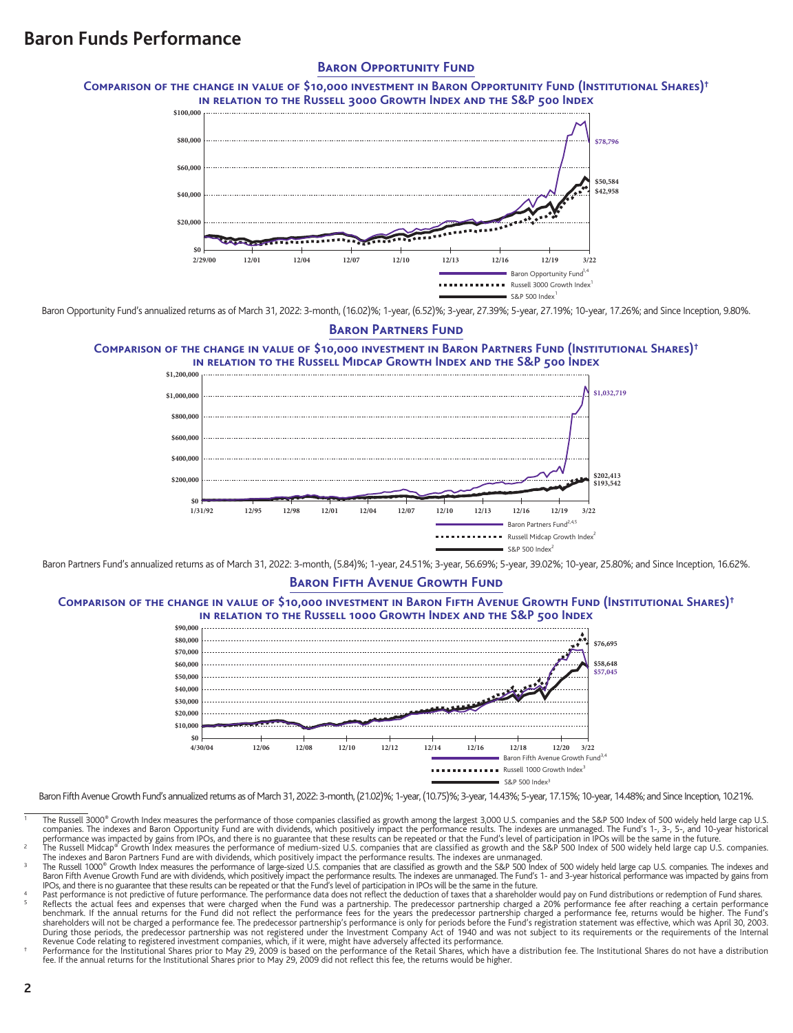### **BARON OPPORTUNITY FUND**

**Comparison of the change in value of \$10,000 investment in Baron Opportunity Fund (Institutional Shares)† in relation to the Russell 3000 Growth Index and the S&P 500 Index**



Baron Opportunity Fund's annualized returns as of March 31, 2022: 3-month, (16.02)%; 1-year, (6.52)%; 3-year, 27.39%; 5-year, 27.19%; 10-year, 17.26%; and Since Inception, 9.80%.

### **Baron Partners Fund**

#### **Comparison of the change in value of \$10,000 investment in Baron Partners Fund (Institutional Shares)† in relation to the Russell Midcap Growth Index and the S&P 500 Index**



Baron Partners Fund's annualized returns as of March 31, 2022: 3-month, (5.84)%; 1-year, 24.51%; 3-year, 56.69%; 5-year, 39.02%; 10-year, 25.80%; and Since Inception, 16.62%.

# **Baron Fifth Avenue Growth Fund**

#### **Comparison of the change in value of \$10,000 investment in Baron Fifth Avenue Growth Fund (Institutional Shares)† in relation to the Russell 1000 Growth Index and the S&P 500 Index**



Baron Fifth Avenue Growth Fund's annualized returns as of March 31, 2022: 3-month, (21.02)%; 1-year, (10.75)%; 3-year, 14.43%; 5-year, 17.15%; 10-year, 14.48%; and Since Inception, 10.21%.

- The Russell 3000<sup>®</sup> Growth Index measures the performance of those companies classified as growth among the largest 3,000 U.S. companies and the S&P 500 Index of 500 widely held large cap U.S. companies. The indexes and Baron Opportunity Fund are with dividends, which positively impact the performance results. The indexes are unmanaged. The Fund's 1-, 3-, 5-, and 10-year historical performance was impacted by gains from IPOs, and there is no guarantee that these results can be repeated or that the Fund's level of participation in IPOs will be the same in the future.<br>The Russell Midcap® Growth Index m
- 
- The indexes and Baron Partners Fund are with dividends, which positively impact the performance results. The indexes are unmanaged.<br>The Russell 1000® Growth Index measures the performance of large-sized U.S. companies that
- Past performance is not predictive of future performance. The performance data does not reflect the deduction of taxes that a shareholder would pay on Fund distributions or redemption of Fund shares. Reflects the actual fees and expenses that were charged when the Fund was a partnership. The predecessor partnership charged a 20% performance fee after reaching a certain performance for the Fund visite benchmance is only During those periods, the predecessor partnership was not registered under the Investment Company Act of 1940 and was not subject to its requirements or the requirements of the Internal
- Revenue Code relating to registered investment companies, which, if it were, might have adversely affected its performance.<br>Performance for the Institutional Shares prior to May 29, 2009 is based on the performance of the fee. If the annual returns for the Institutional Shares prior to May 29, 2009 did not reflect this fee, the returns would be higher.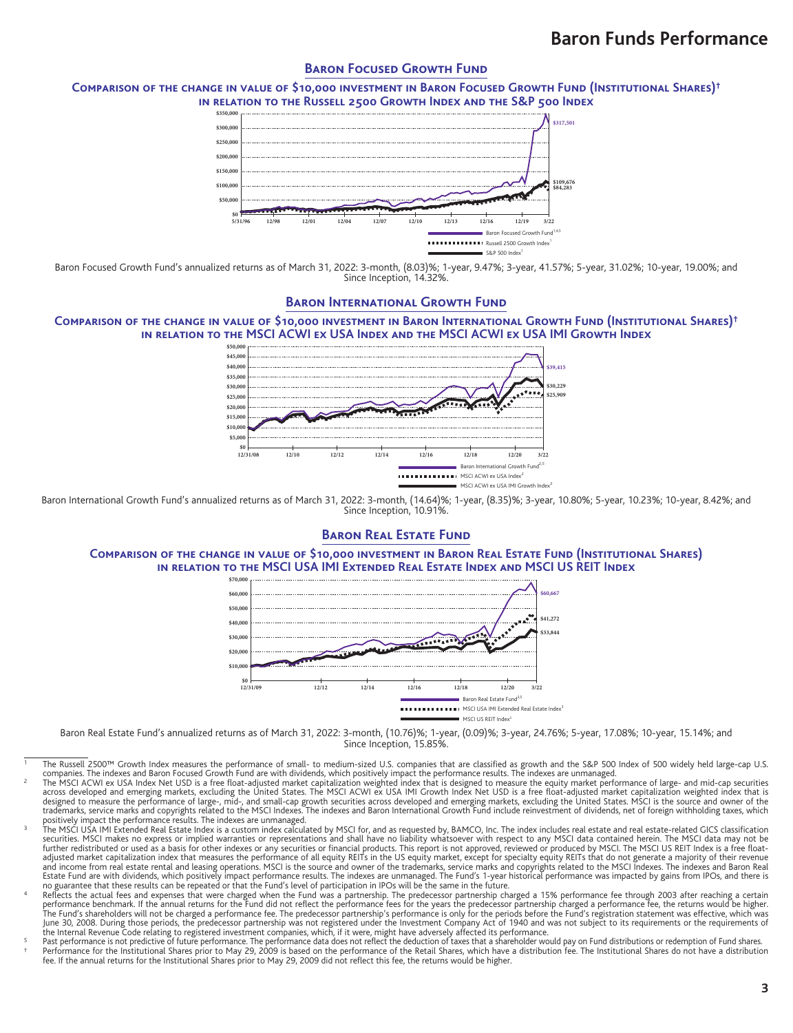## **BARON FOCUSED GROWTH FUND**

#### **Comparison of the change in value of \$10,000 investment in Baron Focused Growth Fund (Institutional Shares)† in relation to the Russell 2500 Growth Index and the S&P 500 Index**



Baron Focused Growth Fund's annualized returns as of March 31, 2022: 3-month, (8.03)%; 1-year, 9.47%; 3-year, 41.57%; 5-year, 31.02%; 10-year, 19.00%; and Since Inception, 14.32%.

# **Baron International Growth Fund**

#### **Comparison of the change in value of \$10,000 investment in Baron International Growth Fund (Institutional Shares)† in relation to the MSCI ACWI ex USA Index and the MSCI ACWI ex USA IMI Growth Index**



Baron International Growth Fund's annualized returns as of March 31, 2022: 3-month, (14.64)%; 1-year, (8.35)%; 3-year, 10.80%; 5-year, 10.23%; 10-year, 8.42%; and Since Inception, 10.91%.

### **BARON REAL ESTATE FUND**

#### **Comparison of the change in value of \$10,000 investment in Baron Real Estate Fund (Institutional Shares) in relation to the MSCI USA IMI Extended Real Estate Index and MSCI US REIT Index**



Baron Real Estate Fund's annualized returns as of March 31, 2022: 3-month, (10.76)%; 1-year, (0.09)%; 3-year, 24.76%; 5-year, 17.08%; 10-year, 15.14%; and Since Inception, 15.85%.

- The Russell 2500™ Growth Index measures the performance of small- to medium-sized U.S. companies that are classified as growth and the S&P 500 Index of 500 widely held large-cap U.S. companies. The indexes and Baron Focused Growth Fund are with dividends, which positively impact the performance results. The indexes are unmanaged.<br>The MSCI ACWI ex USA Index Net USD is a free float-adjusted market capita
- across developed and emerging markets, excluding the United States. The MSCI ACWI ex USA IMI Growth Index Net USD is a free float-adjusted market capitalization weighted index that is<br>designed to measure the performance of
- positively impact the performance results. The indexes are unmanaged.<br>The MSCI USA IMI Extended Real Estate Index is a custom index ralculated by MSCI for, and as requested by, BAMCO, Inc. The index includes real estate an further redistributed or used as a basis for other indexes or any securities or financial products. This report is not approved, reviewed or produced by MSCI. The MSCI US REIT Index is a free float-<br>adjusted market capital Estate Fund are with dividends, which positively impact performance results. The indexes are unmanaged. The Fund's 1-year historical performance was impacted by gains from IPOs, and there is<br>The Sunarantee that these resul
- performance benchmark. If the annual returns for the Fund did not reflect the performance fees for the years the predecessor partnership charged a performance fee, the returns would be higher.<br>The Fund's shareholders will the Internal Revenue Code relating to registered investment companies, which, if it were, might have adversely affected its performance.
- <sup>5</sup> Past performance is not predictive of future performance. The performance data does not reflect the deduction of faxes that a shareholder would pay on Fund distributions or redemption of Fund shares.<br>† Performance for fee. If the annual returns for the Institutional Shares prior to May 29, 2009 did not reflect this fee, the returns would be higher.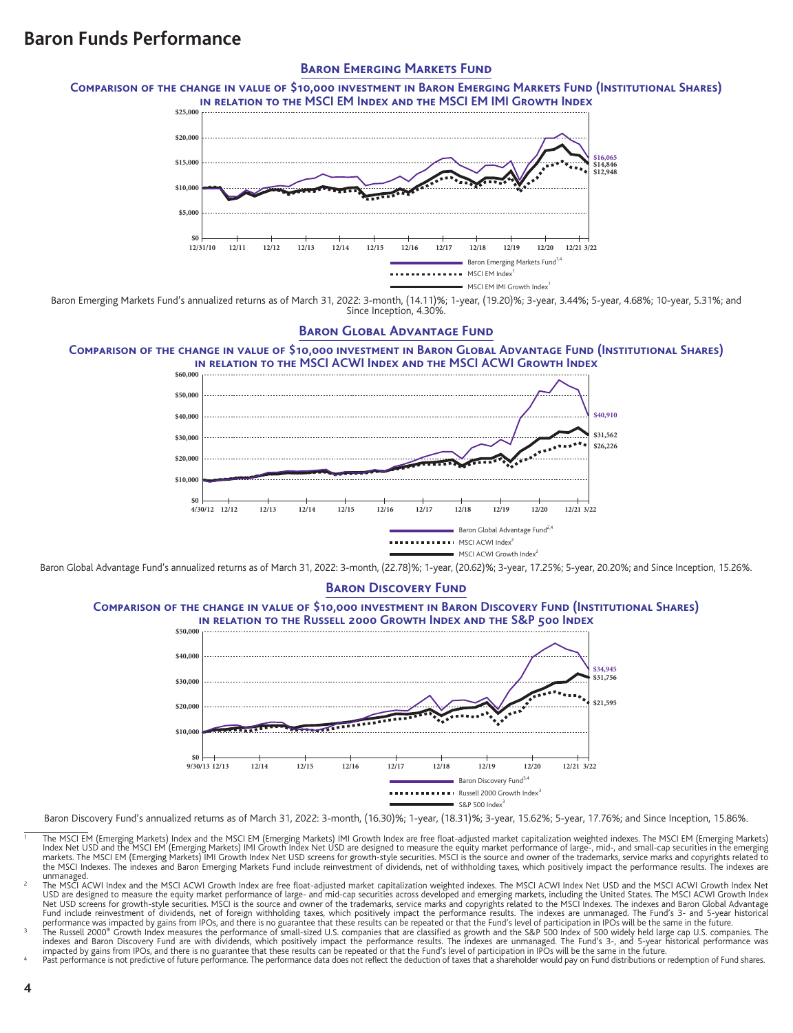### **Baron Emerging Markets Fund**

**Comparison of the change in value of \$10,000 investment in Baron Emerging Markets Fund (Institutional Shares) in relation to the MSCI EM Index and the MSCI EM IMI Growth Index**



Baron Emerging Markets Fund's annualized returns as of March 31, 2022: 3-month, (14.11)%; 1-year, (19.20)%; 3-year, 3.44%; 5-year, 4.68%; 10-year, 5.31%; and Since Inception, 4.30%.

### **BARON GLOBAL ADVANTAGE FUND**

**Comparison of the change in value of \$10,000 investment in Baron Global Advantage Fund (Institutional Shares) in relation to the MSCI ACWI Index and the MSCI ACWI Growth Index**



Baron Global Advantage Fund's annualized returns as of March 31, 2022: 3-month, (22.78)%; 1-year, (20.62)%; 3-year, 17.25%; 5-year, 20.20%; and Since Inception, 15.26%.

# **BARON DISCOVERY FUND**

**Comparison of the change in value of \$10,000 investment in Baron Discovery Fund (Institutional Shares) in relation to the Russell 2000 Growth Index and the S&P 500 Index**



Baron Discovery Fund's annualized returns as of March 31, 2022: 3-month, (16.30)%; 1-year, (18.31)%; 3-year, 15.62%; 5-year, 17.76%; and Since Inception, 15.86%.

- The MSCI EM (Emerging Markets) Index and the MSCI EM (Emerging Markets) IMI Growth Index are free float-adjusted market capitalization weighted indexes. The MSCI EM (Emerging Markets) Index and the MSCI eM (Emerging Market the MSCI Indexes. The indexes and Baron Emerging Markets Fund include reinvestment of dividends, net of withholding taxes, which positively impact the performance results. The indexes are<br>unmanaged.
- unmanaged.<br>
In MSCI ACWI Index and the MSCI ACWI Growth Index are free float-adjusted market capitalization weighted indexs. The MSCI ACWI Index Net USD and the MSCI ACWI Growth Index Net<br>
USD are designed to measure the e
- indexes and Baron Discovery Fund are with dividends, which positively impact the performance results. The indexes are unmanaged. The Fund's 3-, and 5-year historical performance was<br>impacted by gains from IPOS, and there i
-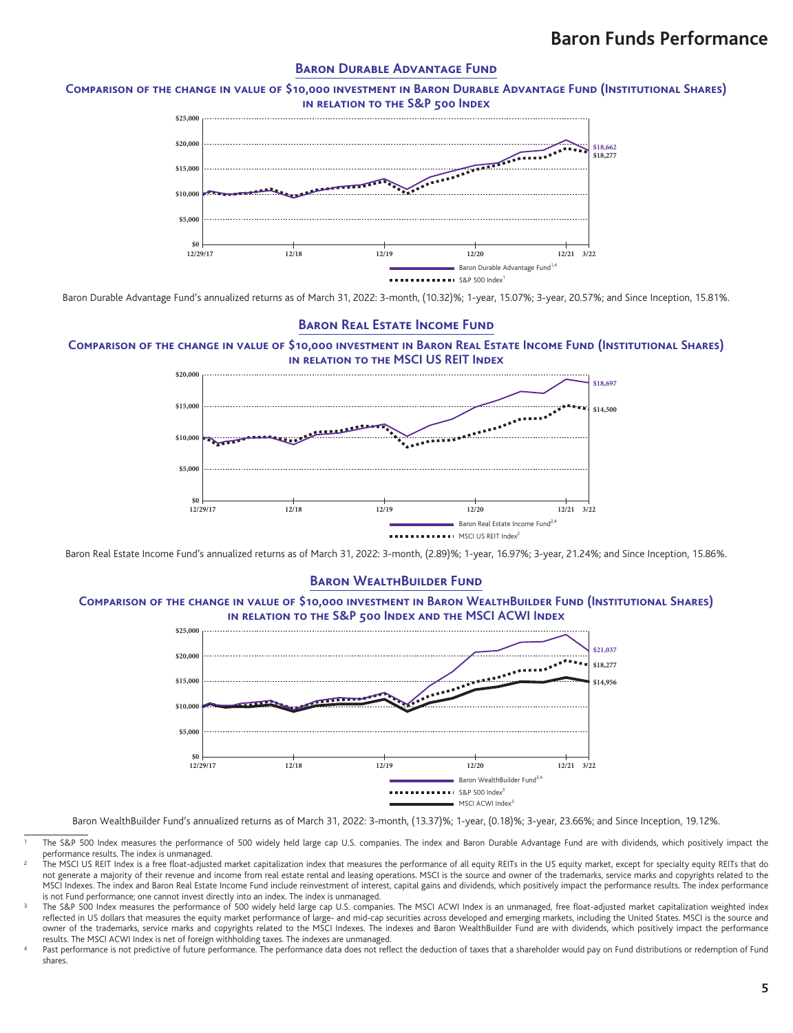### **BARON DURABLE ADVANTAGE FUND**

**Comparison of the change in value of \$10,000 investment in Baron Durable Advantage Fund (Institutional Shares) in relation to the S&P 500 Index**



Baron Durable Advantage Fund's annualized returns as of March 31, 2022: 3-month, (10.32)%; 1-year, 15.07%; 3-year, 20.57%; and Since Inception, 15.81%.

# **Baron Real Estate Income Fund**

### **Comparison of the change in value of \$10,000 investment in Baron Real Estate Income Fund (Institutional Shares) in relation to the MSCI US REIT Index**



Baron Real Estate Income Fund's annualized returns as of March 31, 2022: 3-month, (2.89)%; 1-year, 16.97%; 3-year, 21.24%; and Since Inception, 15.86%.

#### **BARON WEALTHBUILDER FUND**

### **Comparison of the change in value of \$10,000 investment in Baron WealthBuilder Fund (Institutional Shares) in relation to the S&P 500 Index and the MSCI ACWI Index**



Baron WealthBuilder Fund's annualized returns as of March 31, 2022: 3-month, (13.37)%; 1-year, (0.18)%; 3-year, 23.66%; and Since Inception, 19.12%.

The S&P 500 Index measures the performance of 500 widely held large cap U.S. companies. The index and Baron Durable Advantage Fund are with dividends, which positively impact the performance results. The index is unmanaged.

The MSCI US REIT Index is a free float-adjusted market capitalization index that measures the performance of all equity REITs in the US equity market, except for specialty equity REITs that do not generate a majority of their revenue and income from real estate rental and leasing operations. MSCI is the source and owner of the trademarks, service marks and copyrights related to the MSCI Indexes. The index and Baron Real Estate Income Fund include reinvestment of interest, capital gains and dividends, which positively impact the performance results. The index performance is not Fund performance; one cannot invest directly into an index. The index is unmanaged.

<sup>3</sup> The S&P 500 Index measures the performance of 500 widely held large cap U.S. companies. The MSCI ACWI Index is an unmanaged, free float-adjusted market capitalization weighted index reflected in US dollars that measures the equity market performance of large- and mid-cap securities across developed and emerging markets, including the United States. MSCI is the source and owner of the trademarks, service marks and copyrights related to the MSCI Indexes. The indexes and Baron WealthBuilder Fund are with dividends, which positively impact the performance results. The MSCI ACWI Index is net of foreign withholding taxes. The indexes are unmanaged.

Past performance is not predictive of future performance. The performance data does not reflect the deduction of taxes that a shareholder would pay on Fund distributions or redemption of Fund shares.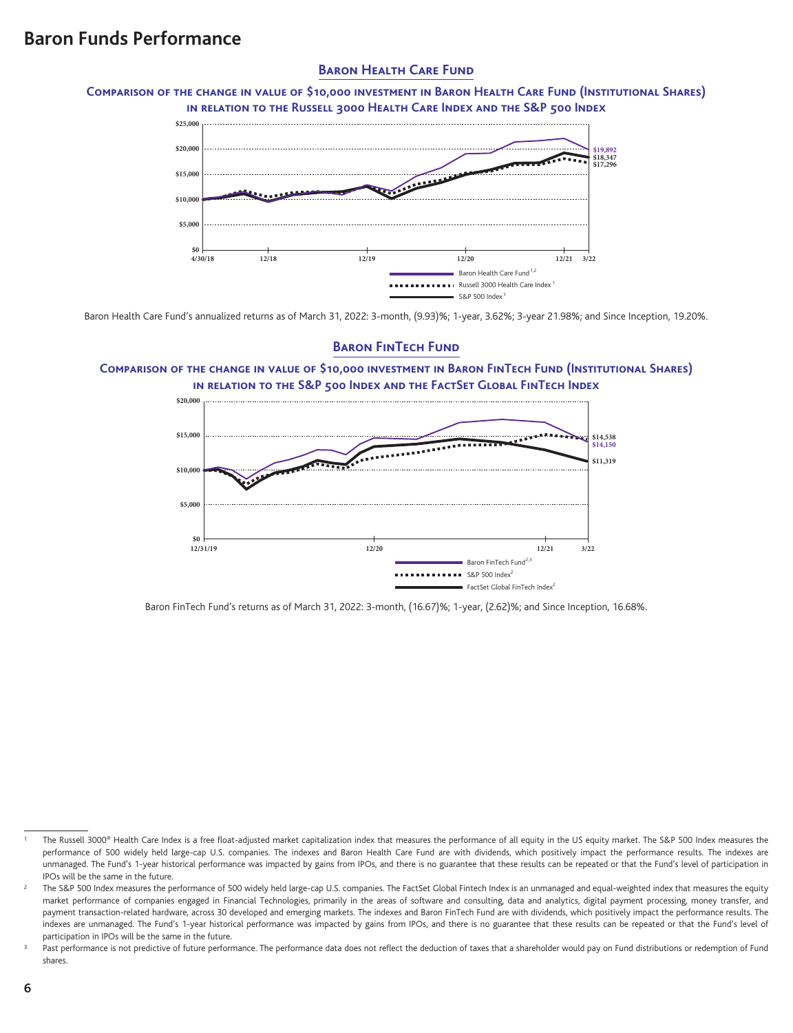# **BARON HEALTH CARE FUND**

**Comparison of the change in value of \$10,000 investment in Baron Health Care Fund (Institutional Shares) in relation to the Russell 3000 Health Care Index and the S&P 500 Index**



Baron Health Care Fund's annualized returns as of March 31, 2022: 3-month, (9.93)%; 1-year, 3.62%; 3-year 21.98%; and Since Inception, 19.20%.

# **BARON FINTECH FUND**

**Comparison of the change in value of \$10,000 investment in Baron FinTech Fund (Institutional Shares) in relation to the S&P 500 Index and the FactSet Global FinTech Index**



Baron FinTech Fund's returns as of March 31, 2022: 3-month, (16.67)%; 1-year, (2.62)%; and Since Inception, 16.68%.

The Russell 3000® Health Care Index is a free float-adjusted market capitalization index that measures the performance of all equity in the US equity market. The S&P 500 Index measures the performance of 500 widely held large-cap U.S. companies. The indexes and Baron Health Care Fund are with dividends, which positively impact the performance results. The indexes are unmanaged. The Fund's 1-year historical performance was impacted by gains from IPOs, and there is no guarantee that these results can be repeated or that the Fund's level of participation in IPOs will be the same in the future.

The S&P 500 Index measures the performance of 500 widely held large-cap U.S. companies. The FactSet Global Fintech Index is an unmanaged and equal-weighted index that measures the equity market performance of companies engaged in Financial Technologies, primarily in the areas of software and consulting, data and analytics, digital payment processing, money transfer, and payment transaction-related hardware, across 30 developed and emerging markets. The indexes and Baron FinTech Fund are with dividends, which positively impact the performance results. The indexes are unmanaged. The Fund's 1-year historical performance was impacted by gains from IPOs, and there is no guarantee that these results can be repeated or that the Fund's level of participation in IPOs will be the same in the future.

Past performance is not predictive of future performance. The performance data does not reflect the deduction of taxes that a shareholder would pay on Fund distributions or redemption of Fund shares.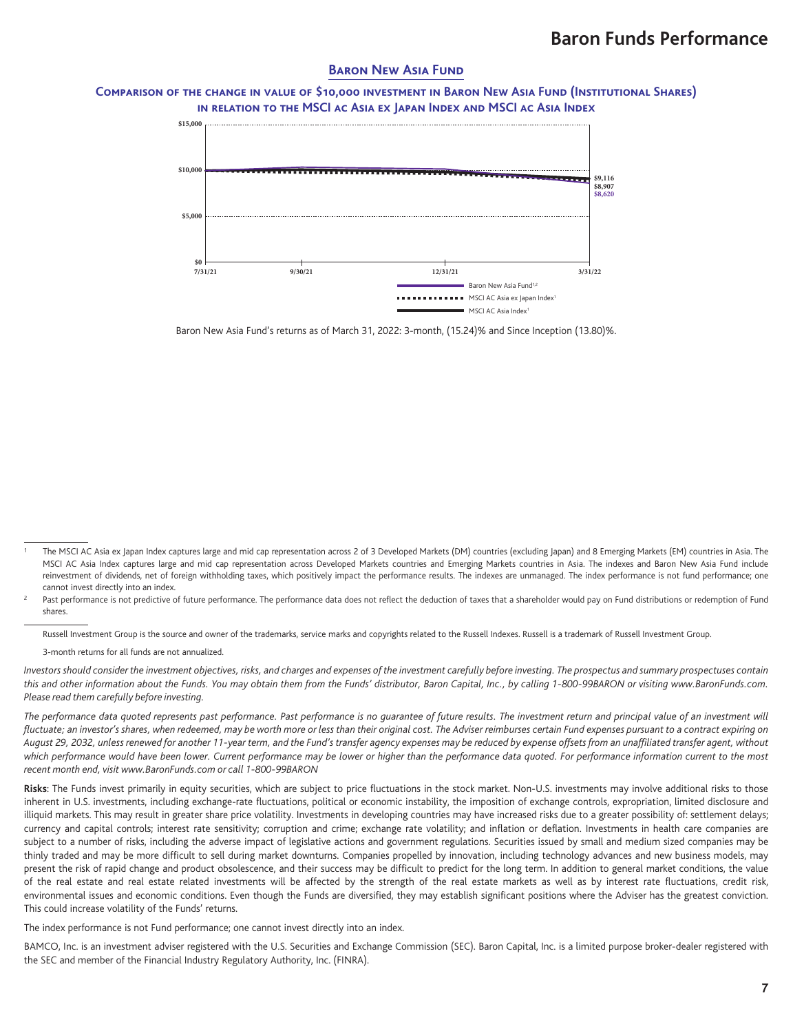### **BARON NEW ASIA FUND**

### **Comparison of the change in value of \$10,000 investment in Baron New Asia Fund (Institutional Shares) in relation to the MSCI ac Asia ex Japan Index and MSCI ac Asia Index**



Baron New Asia Fund's returns as of March 31, 2022: 3-month, (15.24)% and Since Inception (13.80)%.

Russell Investment Group is the source and owner of the trademarks, service marks and copyrights related to the Russell Indexes. Russell is a trademark of Russell Investment Group.

3-month returns for all funds are not annualized.

*Investors should consider the investment objectives, risks, and charges and expenses of the investment carefully before investing. The prospectus and summary prospectuses contain this and other information about the Funds. You may obtain them from the Funds' distributor, Baron Capital, Inc., by calling 1-800-99BARON or visiting www.BaronFunds.com. Please read them carefully before investing.*

*The performance data quoted represents past performance. Past performance is no guarantee of future results. The investment return and principal value of an investment will fluctuate; an investor's shares, when redeemed, may be worth more or less than their original cost. The Adviser reimburses certain Fund expenses pursuant to a contract expiring on August 29, 2032, unless renewed for another 11-year term, and the Fund's transfer agency expenses may be reduced by expense offsets from an unaffiliated transfer agent, without which performance would have been lower. Current performance may be lower or higher than the performance data quoted. For performance information current to the most recent month end, visit www.BaronFunds.com or call 1-800-99BARON*

Risks: The Funds invest primarily in equity securities, which are subject to price fluctuations in the stock market. Non-U.S. investments may involve additional risks to those inherent in U.S. investments, including exchange-rate fluctuations, political or economic instability, the imposition of exchange controls, expropriation, limited disclosure and illiquid markets. This may result in greater share price volatility. Investments in developing countries may have increased risks due to a greater possibility of: settlement delays; currency and capital controls; interest rate sensitivity; corruption and crime; exchange rate volatility; and inflation or deflation. Investments in health care companies are subject to a number of risks, including the adverse impact of legislative actions and government regulations. Securities issued by small and medium sized companies may be thinly traded and may be more difficult to sell during market downturns. Companies propelled by innovation, including technology advances and new business models, may present the risk of rapid change and product obsolescence, and their success may be difficult to predict for the long term. In addition to general market conditions, the value of the real estate and real estate related investments will be affected by the strength of the real estate markets as well as by interest rate fluctuations, credit risk, environmental issues and economic conditions. Even though the Funds are diversified, they may establish significant positions where the Adviser has the greatest conviction. This could increase volatility of the Funds' returns.

The index performance is not Fund performance; one cannot invest directly into an index.

BAMCO, Inc. is an investment adviser registered with the U.S. Securities and Exchange Commission (SEC). Baron Capital, Inc. is a limited purpose broker-dealer registered with the SEC and member of the Financial Industry Regulatory Authority, Inc. (FINRA).

The MSCI AC Asia ex Japan Index captures large and mid cap representation across 2 of 3 Developed Markets (DM) countries (excluding Japan) and 8 Emerging Markets (EM) countries in Asia. The MSCI AC Asia Index captures large and mid cap representation across Developed Markets countries and Emerging Markets countries in Asia. The indexes and Baron New Asia Fund include reinvestment of dividends, net of foreign withholding taxes, which positively impact the performance results. The indexes are unmanaged. The index performance is not fund performance; one cannot invest directly into an index.

Past performance is not predictive of future performance. The performance data does not reflect the deduction of taxes that a shareholder would pay on Fund distributions or redemption of Fund shares.